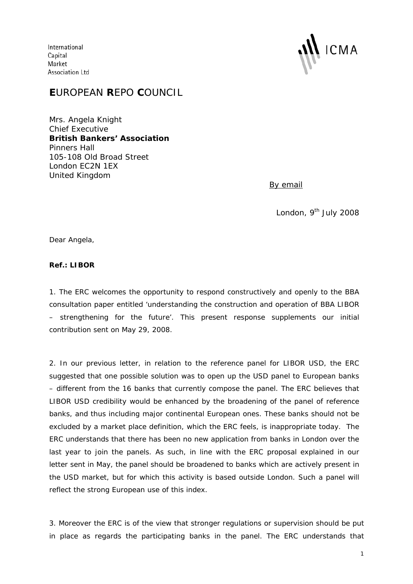International Capital Market Association Ltd



## **E**UROPEAN **R**EPO **C**OUNCIL

Mrs. Angela Knight Chief Executive **British Bankers' Association**  Pinners Hall 105-108 Old Broad Street London EC2N 1EX United Kingdom

*By email* 

London, 9<sup>th</sup> July 2008

Dear Angela,

## **Ref.: LIBOR**

1. The ERC welcomes the opportunity to respond constructively and openly to the BBA consultation paper entitled 'understanding the construction and operation of BBA LIBOR – strengthening for the future'. This present response supplements our initial contribution sent on May 29, 2008.

2. In our previous letter, in relation to the reference panel for LIBOR USD, the ERC suggested that one possible solution was to open up the USD panel to European banks – different from the 16 banks that currently compose the panel. The ERC believes that LIBOR USD credibility would be enhanced by the broadening of the panel of reference banks, and thus including major continental European ones. These banks should not be excluded by a market place definition, which the ERC feels, is inappropriate today. The ERC understands that there has been no new application from banks in London over the last year to join the panels. As such, in line with the ERC proposal explained in our letter sent in May, the panel should be broadened to banks which are actively present in the USD market, but for which this activity is based outside London. Such a panel will reflect the strong European use of this index.

3. Moreover the ERC is of the view that stronger regulations or supervision should be put in place as regards the participating banks in the panel. The ERC understands that